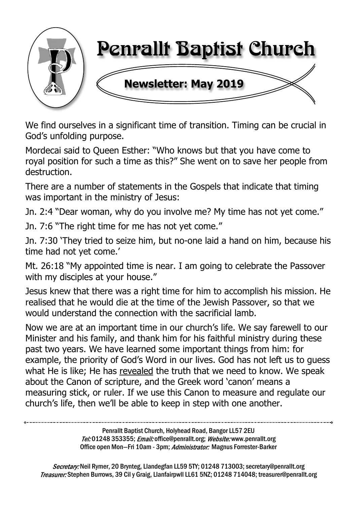

We find ourselves in a significant time of transition. Timing can be crucial in God's unfolding purpose.

Mordecai said to Queen Esther: "Who knows but that you have come to royal position for such a time as this?" She went on to save her people from destruction.

There are a number of statements in the Gospels that indicate that timing was important in the ministry of Jesus:

Jn. 2:4 "Dear woman, why do you involve me? My time has not yet come."

Jn. 7:6 "The right time for me has not yet come."

Jn. 7:30 'They tried to seize him, but no-one laid a hand on him, because his time had not yet come.'

Mt. 26:18 "My appointed time is near. I am going to celebrate the Passover with my disciples at your house."

Jesus knew that there was a right time for him to accomplish his mission. He realised that he would die at the time of the Jewish Passover, so that we would understand the connection with the sacrificial lamb.

Now we are at an important time in our church's life. We say farewell to our Minister and his family, and thank him for his faithful ministry during these past two years. We have learned some important things from him: for example, the priority of God's Word in our lives. God has not left us to guess what He is like; He has revealed the truth that we need to know. We speak about the Canon of scripture, and the Greek word 'canon' means a measuring stick, or ruler. If we use this Canon to measure and regulate our church's life, then we'll be able to keep in step with one another.

> Penrallt Baptist Church, Holyhead Road, Bangor LL57 2EU Tel:01248 353355; Email: office@penrallt.org; Website: www.penrallt.org Office open Mon-Fri 10am - 3pm; Administrator: Magnus Forrester-Barker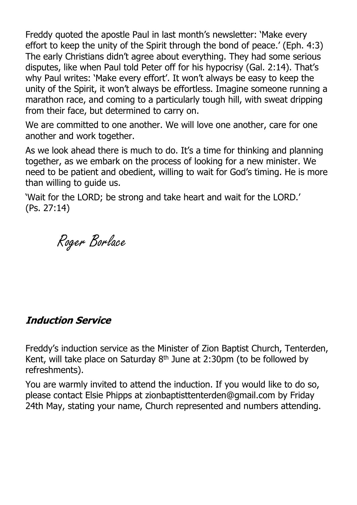Freddy quoted the apostle Paul in last month's newsletter: 'Make every effort to keep the unity of the Spirit through the bond of peace.' (Eph. 4:3) The early Christians didn't agree about everything. They had some serious disputes, like when Paul told Peter off for his hypocrisy (Gal. 2:14). That's why Paul writes: 'Make every effort'. It won't always be easy to keep the unity of the Spirit, it won't always be effortless. Imagine someone running a marathon race, and coming to a particularly tough hill, with sweat dripping from their face, but determined to carry on.

We are committed to one another. We will love one another, care for one another and work together.

As we look ahead there is much to do. It's a time for thinking and planning together, as we embark on the process of looking for a new minister. We need to be patient and obedient, willing to wait for God's timing. He is more than willing to guide us.

'Wait for the LORD; be strong and take heart and wait for the LORD.' (Ps. 27:14)

Roger Borlace

#### **Induction Service**

Freddy's induction service as the Minister of Zion Baptist Church, Tenterden, Kent, will take place on Saturday  $8<sup>th</sup>$  June at 2:30pm (to be followed by refreshments).

You are warmly invited to attend the induction. If you would like to do so, please contact Elsie Phipps at zionbaptisttenterden@gmail.com by Friday 24th May, stating your name, Church represented and numbers attending.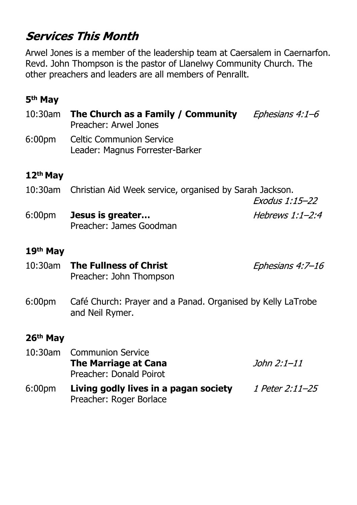# **Services This Month**

Arwel Jones is a member of the leadership team at Caersalem in Caernarfon. Revd. John Thompson is the pastor of Llanelwy Community Church. The other preachers and leaders are all members of Penrallt.

## **5th May**

10:30am **The Church as a Family / Community** Ephesians 4:1-6 Preacher: Arwel Jones 6:00pm Celtic Communion Service Leader: Magnus Forrester-Barker **12th May** 10:30am Christian Aid Week service, organised by Sarah Jackson. Exodus 1:15-22 6:00pm **Jesus is greater…** Hebrews  $1:1-2:4$ Preacher: James Goodman

#### **19th May**

- 10:30am **The Fullness of Christ** Ephesians 4:7-16 Preacher: John Thompson
- 6:00pm Café Church: Prayer and a Panad. Organised by Kelly LaTrobe and Neil Rymer.

#### **26th May**

|                    | 10:30am Communion Service                                        |                 |
|--------------------|------------------------------------------------------------------|-----------------|
|                    | <b>The Marriage at Cana</b>                                      | John 2:1–11     |
|                    | Preacher: Donald Poirot                                          |                 |
| 6:00 <sub>pm</sub> | Living godly lives in a pagan society<br>Preacher: Roger Borlace | 1 Peter 2:11-25 |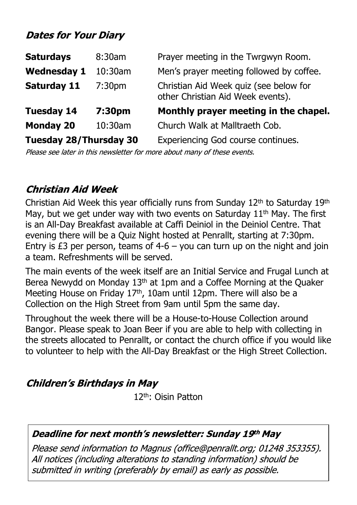## **Dates for Your Diary**

| <b>Saturdays</b>              | 8:30am             | Prayer meeting in the Twrgwyn Room.                                         |
|-------------------------------|--------------------|-----------------------------------------------------------------------------|
| <b>Wednesday 1</b>            | 10:30am            | Men's prayer meeting followed by coffee.                                    |
| <b>Saturday 11</b>            | 7:30 <sub>pm</sub> | Christian Aid Week quiz (see below for<br>other Christian Aid Week events). |
| <b>Tuesday 14</b>             | 7:30pm             | Monthly prayer meeting in the chapel.                                       |
| <b>Monday 20</b>              | 10:30am            | Church Walk at Malltraeth Cob.                                              |
| <b>Tuesday 28/Thursday 30</b> |                    | Experiencing God course continues.                                          |

Please see later in this newsletter for more about many of these events.

## **Christian Aid Week**

Christian Aid Week this year officially runs from Sunday 12th to Saturday 19th May, but we get under way with two events on Saturday  $11<sup>th</sup>$  May. The first is an All-Day Breakfast available at Caffi Deiniol in the Deiniol Centre. That evening there will be a Quiz Night hosted at Penrallt, starting at 7:30pm. Entry is £3 per person, teams of  $4-6 -$  you can turn up on the night and join a team. Refreshments will be served.

The main events of the week itself are an Initial Service and Frugal Lunch at Berea Newydd on Monday 13th at 1pm and a Coffee Morning at the Quaker Meeting House on Friday 17<sup>th</sup>, 10am until 12pm. There will also be a Collection on the High Street from 9am until 5pm the same day.

Throughout the week there will be a House-to-House Collection around Bangor. Please speak to Joan Beer if you are able to help with collecting in the streets allocated to Penrallt, or contact the church office if you would like to volunteer to help with the All-Day Breakfast or the High Street Collection.

## **Children's Birthdays in May**

12th: Oisin Patton

#### Deadline for next month's newsletter: Sunday 19th May

Please send information to Magnus (office@penrallt.org; 01248 353355). All notices (including alterations to standing information) should be submitted in writing (preferably by email) as early as possible.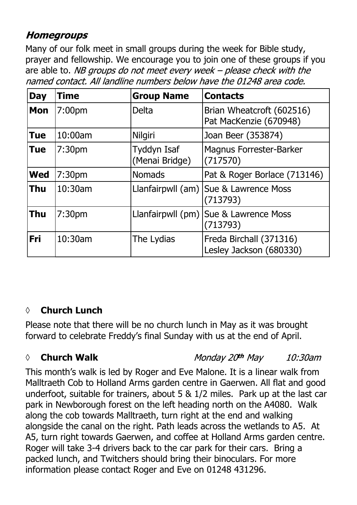## **Homegroups**

Many of our folk meet in small groups during the week for Bible study, prayer and fellowship. We encourage you to join one of these groups if you are able to. NB groups do not meet every week  $-$  please check with the named contact. All landline numbers below have the 01248 area code.

| <b>Day</b> | <b>Time</b>        | <b>Group Name</b>             | <b>Contacts</b>                                     |
|------------|--------------------|-------------------------------|-----------------------------------------------------|
| <b>Mon</b> | 7:00 <sub>pm</sub> | <b>Delta</b>                  | Brian Wheatcroft (602516)<br>Pat MacKenzie (670948) |
| <b>Tue</b> | 10:00am            | Nilgiri                       | Joan Beer (353874)                                  |
| <b>Tue</b> | 7:30 <sub>pm</sub> | Tyddyn Isaf<br>(Menai Bridge) | <b>Magnus Forrester-Barker</b><br>(717570)          |
| <b>Wed</b> | 7:30pm             | <b>Nomads</b>                 | Pat & Roger Borlace (713146)                        |
| <b>Thu</b> | 10:30am            |                               | Llanfairpwll (am) Sue & Lawrence Moss<br>(713793)   |
| <b>Thu</b> | 7:30 <sub>pm</sub> |                               | Llanfairpwll (pm) Sue & Lawrence Moss<br>(713793)   |
| Fri        | 10:30am            | The Lydias                    | Freda Birchall (371316)<br>Lesley Jackson (680330)  |

## *◊* **Church Lunch**

Please note that there will be no church lunch in May as it was brought forward to celebrate Freddy's final Sunday with us at the end of April.

## *◊* **Church Walk**

Monday 20th May 10:30am

This month's walk is led by Roger and Eve Malone. It is a linear walk from Malltraeth Cob to Holland Arms garden centre in Gaerwen. All flat and good underfoot, suitable for trainers, about 5 & 1/2 miles. Park up at the last car park in Newborough forest on the left heading north on the A4080. Walk along the cob towards Malltraeth, turn right at the end and walking alongside the canal on the right. Path leads across the wetlands to A5. At A5, turn right towards Gaerwen, and coffee at Holland Arms garden centre. Roger will take 3-4 drivers back to the car park for their cars. Bring a packed lunch, and Twitchers should bring their binoculars. For more information please contact Roger and Eve on 01248 431296.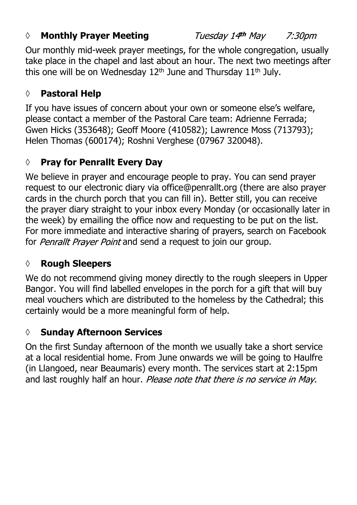#### *◊* **Monthly Prayer Meeting**

Tuesday 14th May 7:30pm

Our monthly mid-week prayer meetings, for the whole congregation, usually take place in the chapel and last about an hour. The next two meetings after this one will be on Wednesday  $12<sup>th</sup>$  June and Thursday  $11<sup>th</sup>$  July.

# **◊ Pastoral Help**

If you have issues of concern about your own or someone else's welfare, please contact a member of the Pastoral Care team: Adrienne Ferrada; Gwen Hicks (353648); Geoff Moore (410582); Lawrence Moss (713793); Helen Thomas (600174); Roshni Verghese (07967 320048).

# **◊ Pray for Penrallt Every Day**

We believe in prayer and encourage people to pray. You can send prayer request to our electronic diary via office@penrallt.org (there are also prayer cards in the church porch that you can fill in). Better still, you can receive the prayer diary straight to your inbox every Monday (or occasionally later in the week) by emailing the office now and requesting to be put on the list. For more immediate and interactive sharing of prayers, search on Facebook for Penrallt Prayer Point and send a request to join our group.

# **◊ Rough Sleepers**

We do not recommend giving money directly to the rough sleepers in Upper Bangor. You will find labelled envelopes in the porch for a gift that will buy meal vouchers which are distributed to the homeless by the Cathedral; this certainly would be a more meaningful form of help.

# **◊ Sunday Afternoon Services**

On the first Sunday afternoon of the month we usually take a short service at a local residential home. From June onwards we will be going to Haulfre (in Llangoed, near Beaumaris) every month. The services start at 2:15pm and last roughly half an hour. Please note that there is no service in May.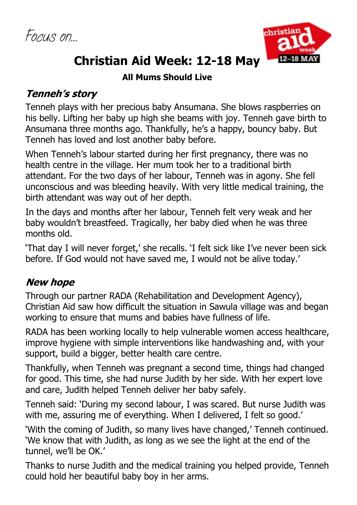*Focus on…*



# **Christian Aid Week: 12-18 May**

#### **All Mums Should Live**

## **Tenneh's story**

Tenneh plays with her precious baby Ansumana. She blows raspberries on his belly. Lifting her baby up high she beams with joy. Tenneh gave birth to Ansumana three months ago. Thankfully, he's a happy, bouncy baby. But Tenneh has loved and lost another baby before.

When Tenneh's labour started during her first pregnancy, there was no health centre in the village. Her mum took her to a traditional birth attendant. For the two days of her labour, Tenneh was in agony. She fell unconscious and was bleeding heavily. With very little medical training, the birth attendant was way out of her depth.

In the days and months after her labour, Tenneh felt very weak and her baby wouldn't breastfeed. Tragically, her baby died when he was three months old.

'That day I will never forget,' she recalls. 'I felt sick like I've never been sick before. If God would not have saved me, I would not be alive today.'

# **New hope**

Through our partner RADA (Rehabilitation and Development Agency), Christian Aid saw how difficult the situation in Sawula village was and began working to ensure that mums and babies have fullness of life.

RADA has been working locally to help vulnerable women access healthcare, improve hygiene with simple interventions like handwashing and, with your support, build a bigger, better health care centre.

Thankfully, when Tenneh was pregnant a second time, things had changed for good. This time, she had nurse Judith by her side. With her expert love and care, Judith helped Tenneh deliver her baby safely.

Tenneh said: 'During my second labour, I was scared. But nurse Judith was with me, assuring me of everything. When I delivered, I felt so good.'

'With the coming of Judith, so many lives have changed,' Tenneh continued. 'We know that with Judith, as long as we see the light at the end of the tunnel, we'll be OK.'

Thanks to nurse Judith and the medical training you helped provide, Tenneh could hold her beautiful baby boy in her arms.